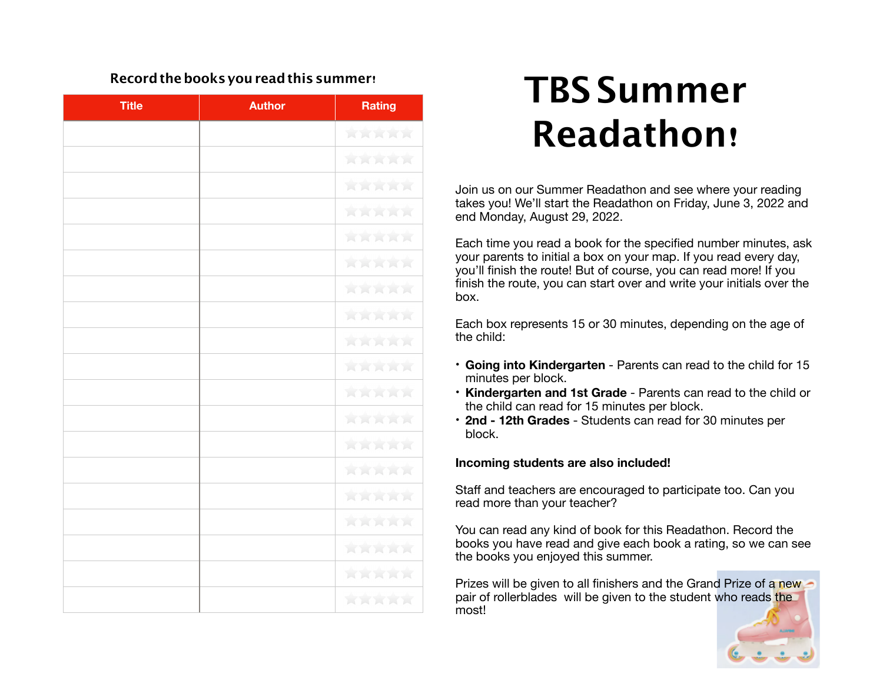## **Recordthebooks youreadthis summer**!

| <b>Title</b> | <b>Author</b> | <b>Rating</b> |
|--------------|---------------|---------------|
|              |               | 食食食食食         |
|              |               | 食食食食食         |
|              |               | 食食食食食         |
|              |               | 食食食食食         |
|              |               | <b>XXXXX</b>  |
|              |               | 女女女女女         |
|              |               | <b>ARRAK</b>  |
|              |               | <b>AAAAA</b>  |
|              |               | 食食食食食         |
|              |               | 食食食食食         |
|              |               | 食食食食食         |
|              |               | 食食食食食         |
|              |               | 食食食食食         |
|              |               | 食食食食食         |
|              |               | 女女女女女         |
|              |               | <b>ARRAK</b>  |
|              |               | 含食食食食         |
|              |               | XXXXX         |
|              |               | 食食食食食         |

## **Title Author Rating TBS Summer Readathon**!

Join us on our Summer Readathon and see where your reading takes you! We'll start the Readathon on Friday, June 3, 2022 and end Monday, August 29, 2022.

Each time you read a book for the specified number minutes, ask your parents to initial a box on your map. If you read every day, you'll finish the route! But of course, you can read more! If you finish the route, you can start over and write your initials over the box.

Each box represents 15 or 30 minutes, depending on the age of the child:

- **Going into Kindergarten** Parents can read to the child for 15 minutes per block.
- **Kindergarten and 1st Grade** Parents can read to the child or the child can read for 15 minutes per block.
- **2nd 12th Grades**  Students can read for 30 minutes per block.

## **Incoming students are also included!**

Staff and teachers are encouraged to participate too. Can you read more than your teacher?

You can read any kind of book for this Readathon. Record the books you have read and give each book a rating, so we can see the books you enjoyed this summer.

Prizes will be given to all finishers and the Grand Prize of a new pair of rollerblades will be given to the student who reads the most!